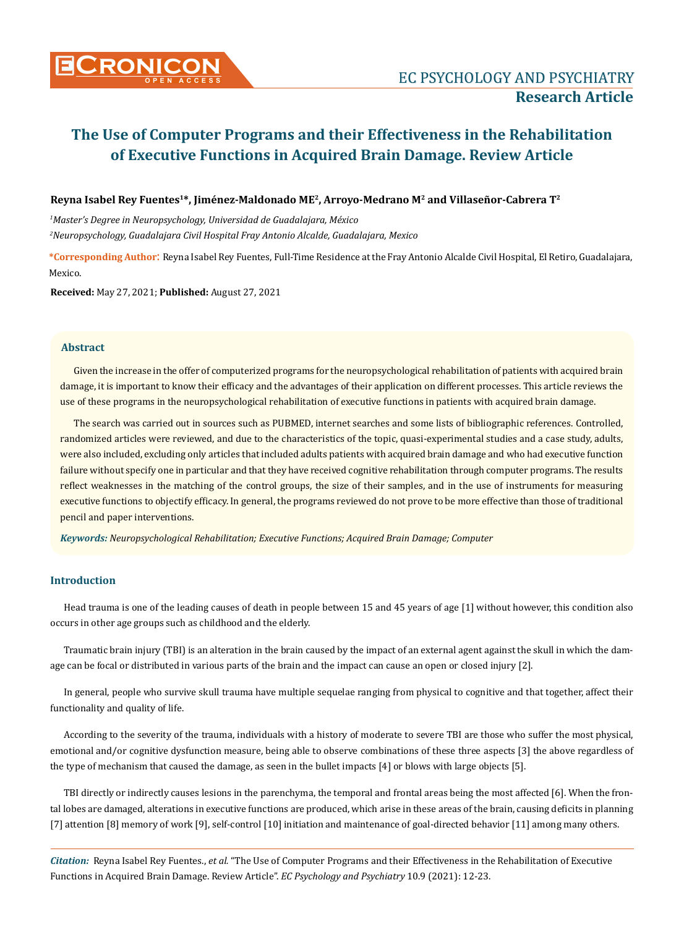# **CRONICON EC PSYCHOLOGY AND PSYCHIATRY**

# **The Use of Computer Programs and their Effectiveness in the Rehabilitation of Executive Functions in Acquired Brain Damage. Review Article**

#### **Reyna Isabel Rey Fuentes1\*, Jiménez-Maldonado ME2, Arroyo-Medrano M2 and Villaseñor-Cabrera T2**

*1 Master's Degree in Neuropsychology, Universidad de Guadalajara, México 2 Neuropsychology, Guadalajara Civil Hospital Fray Antonio Alcalde, Guadalajara, Mexico*

**\*Corresponding Author**: Reyna Isabel Rey Fuentes, Full-Time Residence at the Fray Antonio Alcalde Civil Hospital, El Retiro, Guadalajara, Mexico.

**Received:** May 27, 2021; **Published:** August 27, 2021

#### **Abstract**

Given the increase in the offer of computerized programs for the neuropsychological rehabilitation of patients with acquired brain damage, it is important to know their efficacy and the advantages of their application on different processes. This article reviews the use of these programs in the neuropsychological rehabilitation of executive functions in patients with acquired brain damage.

The search was carried out in sources such as PUBMED, internet searches and some lists of bibliographic references. Controlled, randomized articles were reviewed, and due to the characteristics of the topic, quasi-experimental studies and a case study, adults, were also included, excluding only articles that included adults patients with acquired brain damage and who had executive function failure without specify one in particular and that they have received cognitive rehabilitation through computer programs. The results reflect weaknesses in the matching of the control groups, the size of their samples, and in the use of instruments for measuring executive functions to objectify efficacy. In general, the programs reviewed do not prove to be more effective than those of traditional pencil and paper interventions.

*Keywords: Neuropsychological Rehabilitation; Executive Functions; Acquired Brain Damage; Computer*

#### **Introduction**

Head trauma is one of the leading causes of death in people between 15 and 45 years of age [1] without however, this condition also occurs in other age groups such as childhood and the elderly.

Traumatic brain injury (TBI) is an alteration in the brain caused by the impact of an external agent against the skull in which the damage can be focal or distributed in various parts of the brain and the impact can cause an open or closed injury [2].

In general, people who survive skull trauma have multiple sequelae ranging from physical to cognitive and that together, affect their functionality and quality of life.

According to the severity of the trauma, individuals with a history of moderate to severe TBI are those who suffer the most physical, emotional and/or cognitive dysfunction measure, being able to observe combinations of these three aspects [3] the above regardless of the type of mechanism that caused the damage, as seen in the bullet impacts [4] or blows with large objects [5].

TBI directly or indirectly causes lesions in the parenchyma, the temporal and frontal areas being the most affected [6]. When the frontal lobes are damaged, alterations in executive functions are produced, which arise in these areas of the brain, causing deficits in planning [7] attention [8] memory of work [9], self-control [10] initiation and maintenance of goal-directed behavior [11] among many others.

*Citation:* Reyna Isabel Rey Fuentes., *et al.* "The Use of Computer Programs and their Effectiveness in the Rehabilitation of Executive Functions in Acquired Brain Damage. Review Article". *EC Psychology and Psychiatry* 10.9 (2021): 12-23.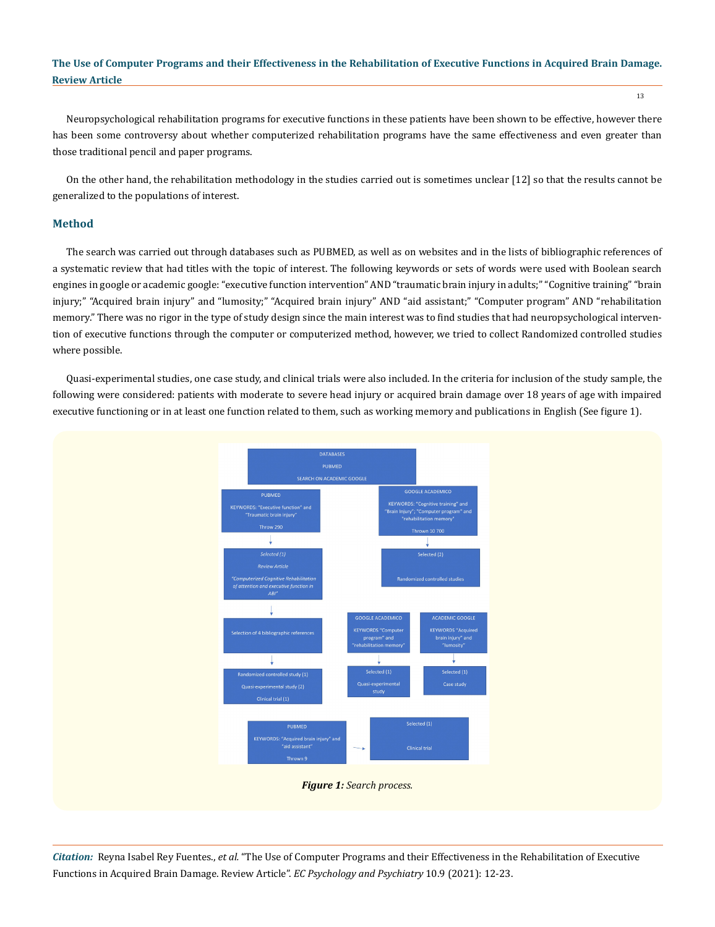Neuropsychological rehabilitation programs for executive functions in these patients have been shown to be effective, however there has been some controversy about whether computerized rehabilitation programs have the same effectiveness and even greater than those traditional pencil and paper programs.

On the other hand, the rehabilitation methodology in the studies carried out is sometimes unclear [12] so that the results cannot be generalized to the populations of interest.

## **Method**

The search was carried out through databases such as PUBMED, as well as on websites and in the lists of bibliographic references of a systematic review that had titles with the topic of interest. The following keywords or sets of words were used with Boolean search engines in google or academic google: "executive function intervention" AND "traumatic brain injury in adults;" "Cognitive training" "brain injury;" "Acquired brain injury" and "lumosity;" "Acquired brain injury" AND "aid assistant;" "Computer program" AND "rehabilitation memory." There was no rigor in the type of study design since the main interest was to find studies that had neuropsychological intervention of executive functions through the computer or computerized method, however, we tried to collect Randomized controlled studies where possible.

Quasi-experimental studies, one case study, and clinical trials were also included. In the criteria for inclusion of the study sample, the following were considered: patients with moderate to severe head injury or acquired brain damage over 18 years of age with impaired executive functioning or in at least one function related to them, such as working memory and publications in English (See figure 1).



*Citation:* Reyna Isabel Rey Fuentes., *et al.* "The Use of Computer Programs and their Effectiveness in the Rehabilitation of Executive Functions in Acquired Brain Damage. Review Article". *EC Psychology and Psychiatry* 10.9 (2021): 12-23.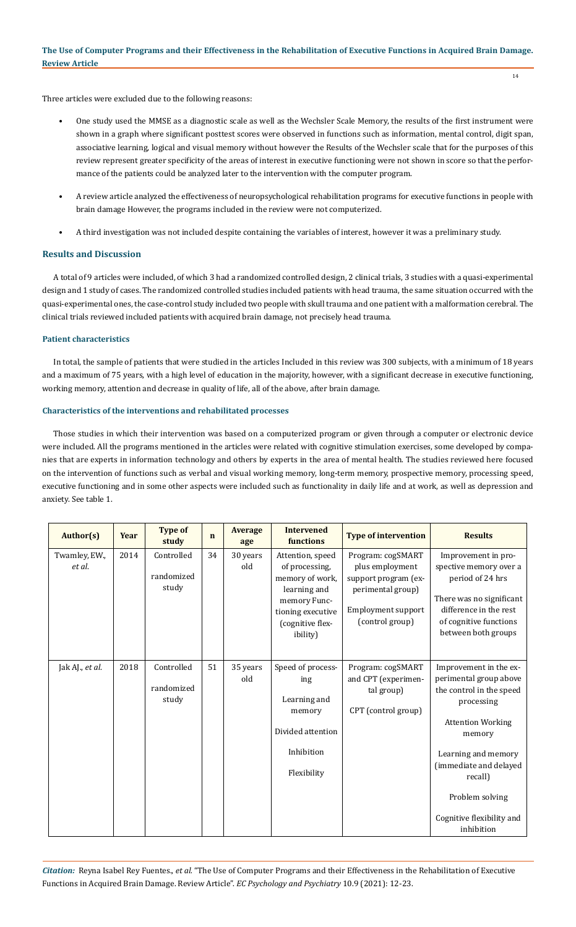14

Three articles were excluded due to the following reasons:

- One study used the MMSE as a diagnostic scale as well as the Wechsler Scale Memory, the results of the first instrument were shown in a graph where significant posttest scores were observed in functions such as information, mental control, digit span, associative learning, logical and visual memory without however the Results of the Wechsler scale that for the purposes of this review represent greater specificity of the areas of interest in executive functioning were not shown in score so that the performance of the patients could be analyzed later to the intervention with the computer program.
- A review article analyzed the effectiveness of neuropsychological rehabilitation programs for executive functions in people with brain damage However, the programs included in the review were not computerized.
- A third investigation was not included despite containing the variables of interest, however it was a preliminary study.

# **Results and Discussion**

A total of 9 articles were included, of which 3 had a randomized controlled design, 2 clinical trials, 3 studies with a quasi-experimental design and 1 study of cases. The randomized controlled studies included patients with head trauma, the same situation occurred with the quasi-experimental ones, the case-control study included two people with skull trauma and one patient with a malformation cerebral. The clinical trials reviewed included patients with acquired brain damage, not precisely head trauma.

# **Patient characteristics**

In total, the sample of patients that were studied in the articles Included in this review was 300 subjects, with a minimum of 18 years and a maximum of 75 years, with a high level of education in the majority, however, with a significant decrease in executive functioning, working memory, attention and decrease in quality of life, all of the above, after brain damage.

#### **Characteristics of the interventions and rehabilitated processes**

Those studies in which their intervention was based on a computerized program or given through a computer or electronic device were included. All the programs mentioned in the articles were related with cognitive stimulation exercises, some developed by companies that are experts in information technology and others by experts in the area of mental health. The studies reviewed here focused on the intervention of functions such as verbal and visual working memory, long-term memory, prospective memory, processing speed, executive functioning and in some other aspects were included such as functionality in daily life and at work, as well as depression and anxiety. See table 1.

| Author(s)               | Year | <b>Type of</b><br>study           | $\mathbf n$ | <b>Average</b><br>age | <b>Intervened</b><br>functions                                                                                                             | <b>Type of intervention</b>                                                                                                | <b>Results</b>                                                                                                                                                                                                                                             |
|-------------------------|------|-----------------------------------|-------------|-----------------------|--------------------------------------------------------------------------------------------------------------------------------------------|----------------------------------------------------------------------------------------------------------------------------|------------------------------------------------------------------------------------------------------------------------------------------------------------------------------------------------------------------------------------------------------------|
| Twamley, EW.,<br>et al. | 2014 | Controlled<br>randomized<br>study | 34          | 30 years<br>old       | Attention, speed<br>of processing,<br>memory of work,<br>learning and<br>memory Func-<br>tioning executive<br>(cognitive flex-<br>ibility) | Program: cogSMART<br>plus employment<br>support program (ex-<br>perimental group)<br>Employment support<br>(control group) | Improvement in pro-<br>spective memory over a<br>period of 24 hrs<br>There was no significant<br>difference in the rest<br>of cognitive functions<br>between both groups                                                                                   |
| Jak AJ., et al.         | 2018 | Controlled<br>randomized<br>study | 51          | 35 years<br>old       | Speed of process-<br>ing<br>Learning and<br>memory<br>Divided attention<br>Inhibition<br>Flexibility                                       | Program: cogSMART<br>and CPT (experimen-<br>tal group)<br>CPT (control group)                                              | Improvement in the ex-<br>perimental group above<br>the control in the speed<br>processing<br><b>Attention Working</b><br>memory<br>Learning and memory<br>(immediate and delayed<br>recall)<br>Problem solving<br>Cognitive flexibility and<br>inhibition |

*Citation:* Reyna Isabel Rey Fuentes., *et al.* "The Use of Computer Programs and their Effectiveness in the Rehabilitation of Executive Functions in Acquired Brain Damage. Review Article". *EC Psychology and Psychiatry* 10.9 (2021): 12-23.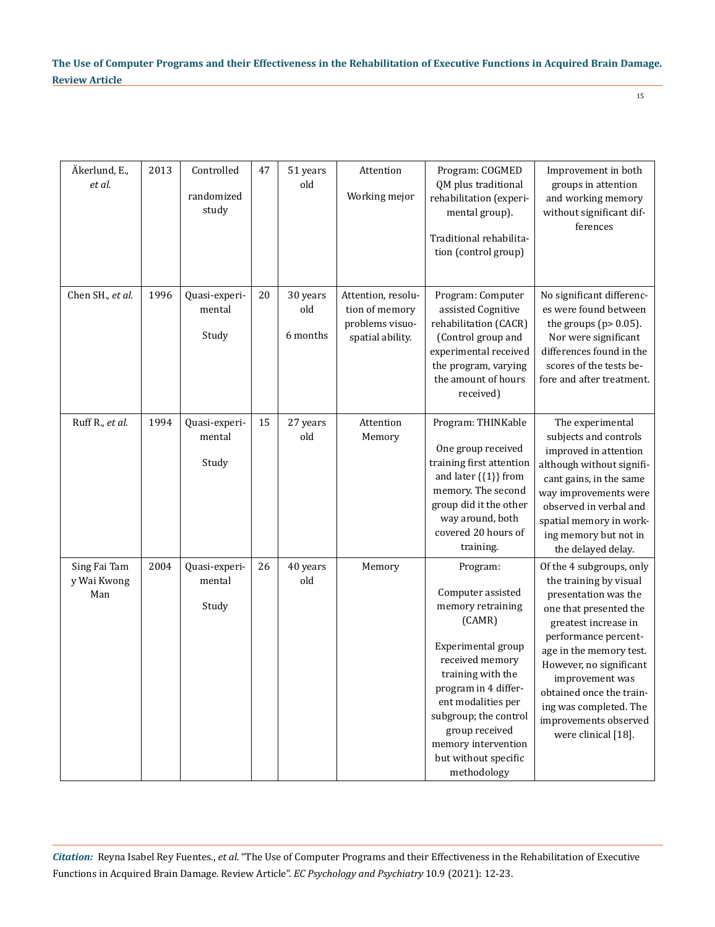| Äkerlund, E.,<br>et al.            | 2013 | Controlled<br>randomized<br>study | 47 | 51 years<br>old             | Attention<br>Working mejor                                                  | Program: COGMED<br>QM plus traditional<br>rehabilitation (experi-<br>mental group).<br>Traditional rehabilita-<br>tion (control group)                                                                                                                                            | Improvement in both<br>groups in attention<br>and working memory<br>without significant dif-<br>ferences                                                                                                                                                                                                                            |
|------------------------------------|------|-----------------------------------|----|-----------------------------|-----------------------------------------------------------------------------|-----------------------------------------------------------------------------------------------------------------------------------------------------------------------------------------------------------------------------------------------------------------------------------|-------------------------------------------------------------------------------------------------------------------------------------------------------------------------------------------------------------------------------------------------------------------------------------------------------------------------------------|
| Chen SH., et al.                   | 1996 | Quasi-experi-<br>mental<br>Study  | 20 | 30 years<br>old<br>6 months | Attention, resolu-<br>tion of memory<br>problems visuo-<br>spatial ability. | Program: Computer<br>assisted Cognitive<br>rehabilitation (CACR)<br>(Control group and<br>experimental received<br>the program, varying<br>the amount of hours<br>received)                                                                                                       | No significant differenc-<br>es were found between<br>the groups ( $p$ > 0.05).<br>Nor were significant<br>differences found in the<br>scores of the tests be-<br>fore and after treatment.                                                                                                                                         |
| Ruff R., et al.                    | 1994 | Quasi-experi-<br>mental<br>Study  | 15 | 27 years<br>old             | Attention<br>Memory                                                         | Program: THINKable<br>One group received<br>training first attention<br>and later $\{\{1\}\}\$ from<br>memory. The second<br>group did it the other<br>way around, both<br>covered 20 hours of<br>training.                                                                       | The experimental<br>subjects and controls<br>improved in attention<br>although without signifi-<br>cant gains, in the same<br>way improvements were<br>observed in verbal and<br>spatial memory in work-<br>ing memory but not in<br>the delayed delay.                                                                             |
| Sing Fai Tam<br>y Wai Kwong<br>Man | 2004 | Quasi-experi-<br>mental<br>Study  | 26 | 40 years<br>old             | Memory                                                                      | Program:<br>Computer assisted<br>memory retraining<br>(CAMR)<br>Experimental group<br>received memory<br>training with the<br>program in 4 differ-<br>ent modalities per<br>subgroup; the control<br>group received<br>memory intervention<br>but without specific<br>methodology | Of the 4 subgroups, only<br>the training by visual<br>presentation was the<br>one that presented the<br>greatest increase in<br>performance percent-<br>age in the memory test.<br>However, no significant<br>improvement was<br>obtained once the train-<br>ing was completed. The<br>improvements observed<br>were clinical [18]. |

*Citation:* Reyna Isabel Rey Fuentes., *et al.* "The Use of Computer Programs and their Effectiveness in the Rehabilitation of Executive Functions in Acquired Brain Damage. Review Article". *EC Psychology and Psychiatry* 10.9 (2021): 12-23.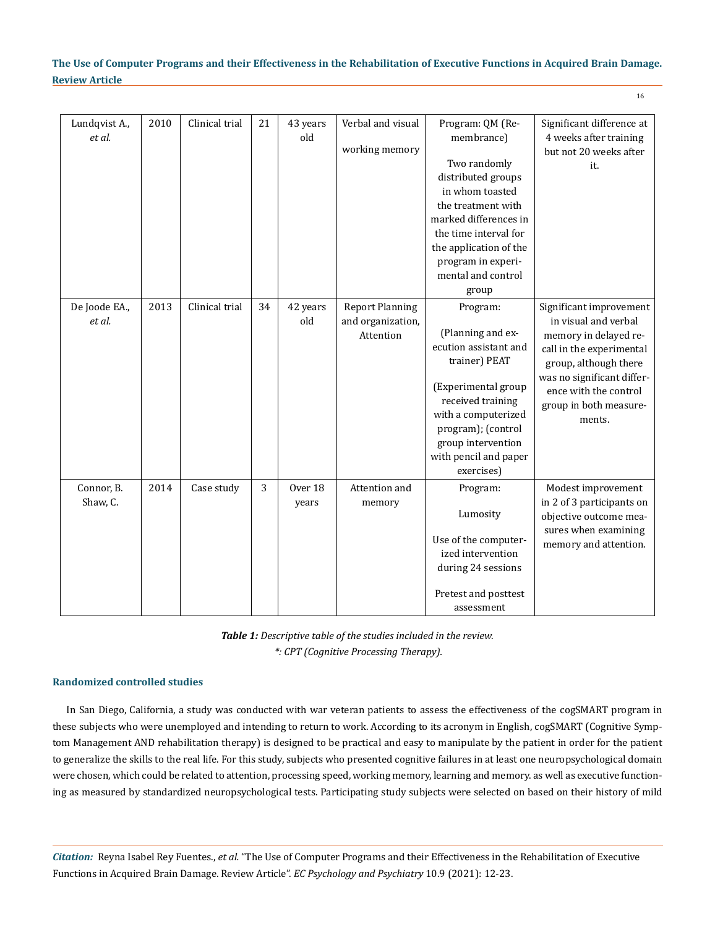| Lundqvist A.,<br>et al. | 2010 | Clinical trial | 21 | 43 years<br>old  | Verbal and visual<br>working memory                      | Program: QM (Re-<br>membrance)                                                                                                                                                                                                | Significant difference at<br>4 weeks after training                                                                                                                                                                      |
|-------------------------|------|----------------|----|------------------|----------------------------------------------------------|-------------------------------------------------------------------------------------------------------------------------------------------------------------------------------------------------------------------------------|--------------------------------------------------------------------------------------------------------------------------------------------------------------------------------------------------------------------------|
|                         |      |                |    |                  |                                                          | Two randomly<br>distributed groups<br>in whom toasted<br>the treatment with<br>marked differences in<br>the time interval for<br>the application of the<br>program in experi-<br>mental and control<br>group                  | but not 20 weeks after<br>it.                                                                                                                                                                                            |
| De Joode EA.,<br>et al. | 2013 | Clinical trial | 34 | 42 years<br>old  | <b>Report Planning</b><br>and organization,<br>Attention | Program:<br>(Planning and ex-<br>ecution assistant and<br>trainer) PEAT<br>(Experimental group<br>received training<br>with a computerized<br>program); (control<br>group intervention<br>with pencil and paper<br>exercises) | Significant improvement<br>in visual and verbal<br>memory in delayed re-<br>call in the experimental<br>group, although there<br>was no significant differ-<br>ence with the control<br>group in both measure-<br>ments. |
| Connor, B.<br>Shaw, C.  | 2014 | Case study     | 3  | Over 18<br>years | Attention and<br>memory                                  | Program:<br>Lumosity<br>Use of the computer-<br>ized intervention<br>during 24 sessions<br>Pretest and posttest<br>assessment                                                                                                 | Modest improvement<br>in 2 of 3 participants on<br>objective outcome mea-<br>sures when examining<br>memory and attention.                                                                                               |

*Table 1: Descriptive table of the studies included in the review. \*: CPT (Cognitive Processing Therapy).*

#### **Randomized controlled studies**

In San Diego, California, a study was conducted with war veteran patients to assess the effectiveness of the cogSMART program in these subjects who were unemployed and intending to return to work. According to its acronym in English, cogSMART (Cognitive Symptom Management AND rehabilitation therapy) is designed to be practical and easy to manipulate by the patient in order for the patient to generalize the skills to the real life. For this study, subjects who presented cognitive failures in at least one neuropsychological domain were chosen, which could be related to attention, processing speed, working memory, learning and memory. as well as executive functioning as measured by standardized neuropsychological tests. Participating study subjects were selected on based on their history of mild

*Citation:* Reyna Isabel Rey Fuentes., *et al.* "The Use of Computer Programs and their Effectiveness in the Rehabilitation of Executive Functions in Acquired Brain Damage. Review Article". *EC Psychology and Psychiatry* 10.9 (2021): 12-23.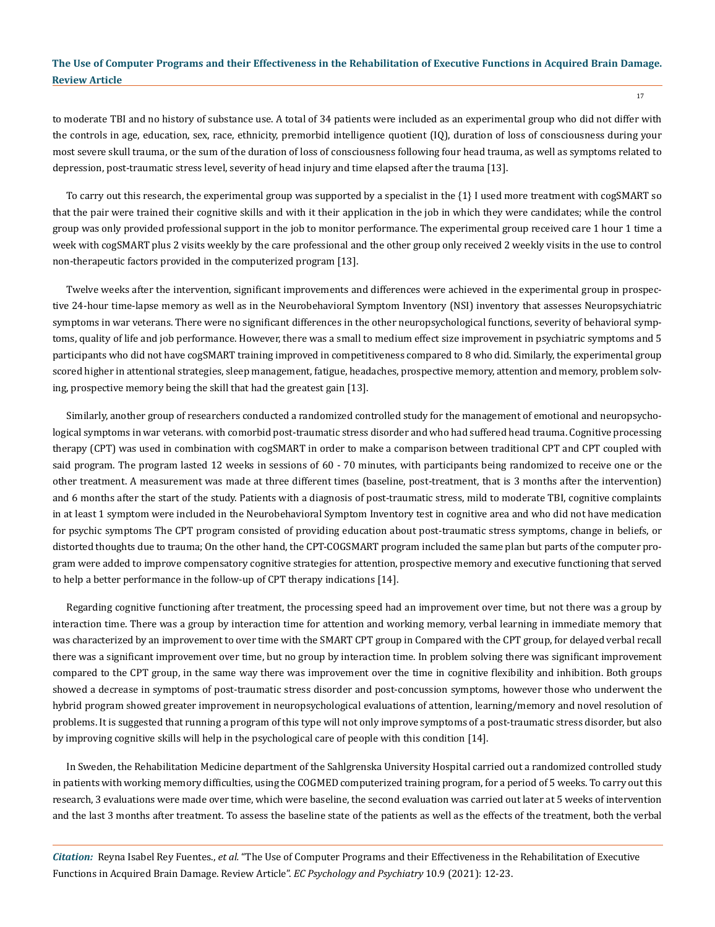to moderate TBI and no history of substance use. A total of 34 patients were included as an experimental group who did not differ with the controls in age, education, sex, race, ethnicity, premorbid intelligence quotient (IQ), duration of loss of consciousness during your most severe skull trauma, or the sum of the duration of loss of consciousness following four head trauma, as well as symptoms related to depression, post-traumatic stress level, severity of head injury and time elapsed after the trauma [13].

To carry out this research, the experimental group was supported by a specialist in the {1} I used more treatment with cogSMART so that the pair were trained their cognitive skills and with it their application in the job in which they were candidates; while the control group was only provided professional support in the job to monitor performance. The experimental group received care 1 hour 1 time a week with cogSMART plus 2 visits weekly by the care professional and the other group only received 2 weekly visits in the use to control non-therapeutic factors provided in the computerized program [13].

Twelve weeks after the intervention, significant improvements and differences were achieved in the experimental group in prospective 24-hour time-lapse memory as well as in the Neurobehavioral Symptom Inventory (NSI) inventory that assesses Neuropsychiatric symptoms in war veterans. There were no significant differences in the other neuropsychological functions, severity of behavioral symptoms, quality of life and job performance. However, there was a small to medium effect size improvement in psychiatric symptoms and 5 participants who did not have cogSMART training improved in competitiveness compared to 8 who did. Similarly, the experimental group scored higher in attentional strategies, sleep management, fatigue, headaches, prospective memory, attention and memory, problem solving, prospective memory being the skill that had the greatest gain [13].

Similarly, another group of researchers conducted a randomized controlled study for the management of emotional and neuropsychological symptoms in war veterans. with comorbid post-traumatic stress disorder and who had suffered head trauma. Cognitive processing therapy (CPT) was used in combination with cogSMART in order to make a comparison between traditional CPT and CPT coupled with said program. The program lasted 12 weeks in sessions of 60 - 70 minutes, with participants being randomized to receive one or the other treatment. A measurement was made at three different times (baseline, post-treatment, that is 3 months after the intervention) and 6 months after the start of the study. Patients with a diagnosis of post-traumatic stress, mild to moderate TBI, cognitive complaints in at least 1 symptom were included in the Neurobehavioral Symptom Inventory test in cognitive area and who did not have medication for psychic symptoms The CPT program consisted of providing education about post-traumatic stress symptoms, change in beliefs, or distorted thoughts due to trauma; On the other hand, the CPT-COGSMART program included the same plan but parts of the computer program were added to improve compensatory cognitive strategies for attention, prospective memory and executive functioning that served to help a better performance in the follow-up of CPT therapy indications [14].

Regarding cognitive functioning after treatment, the processing speed had an improvement over time, but not there was a group by interaction time. There was a group by interaction time for attention and working memory, verbal learning in immediate memory that was characterized by an improvement to over time with the SMART CPT group in Compared with the CPT group, for delayed verbal recall there was a significant improvement over time, but no group by interaction time. In problem solving there was significant improvement compared to the CPT group, in the same way there was improvement over the time in cognitive flexibility and inhibition. Both groups showed a decrease in symptoms of post-traumatic stress disorder and post-concussion symptoms, however those who underwent the hybrid program showed greater improvement in neuropsychological evaluations of attention, learning/memory and novel resolution of problems. It is suggested that running a program of this type will not only improve symptoms of a post-traumatic stress disorder, but also by improving cognitive skills will help in the psychological care of people with this condition [14].

In Sweden, the Rehabilitation Medicine department of the Sahlgrenska University Hospital carried out a randomized controlled study in patients with working memory difficulties, using the COGMED computerized training program, for a period of 5 weeks. To carry out this research, 3 evaluations were made over time, which were baseline, the second evaluation was carried out later at 5 weeks of intervention and the last 3 months after treatment. To assess the baseline state of the patients as well as the effects of the treatment, both the verbal

*Citation:* Reyna Isabel Rey Fuentes., *et al.* "The Use of Computer Programs and their Effectiveness in the Rehabilitation of Executive Functions in Acquired Brain Damage. Review Article". *EC Psychology and Psychiatry* 10.9 (2021): 12-23.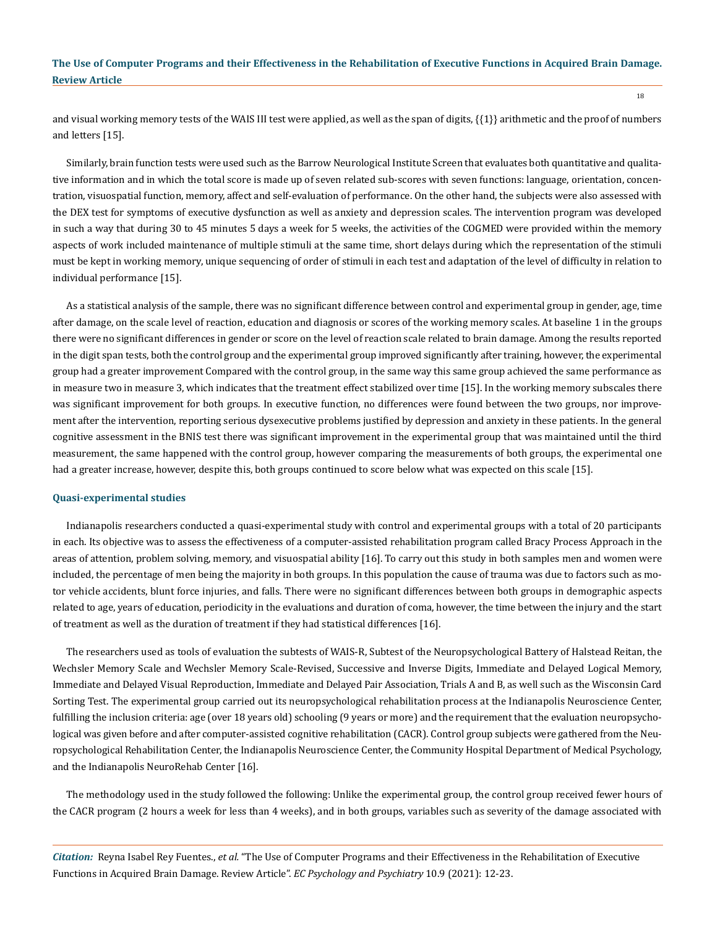and visual working memory tests of the WAIS III test were applied, as well as the span of digits, {{1}} arithmetic and the proof of numbers and letters [15].

Similarly, brain function tests were used such as the Barrow Neurological Institute Screen that evaluates both quantitative and qualitative information and in which the total score is made up of seven related sub-scores with seven functions: language, orientation, concentration, visuospatial function, memory, affect and self-evaluation of performance. On the other hand, the subjects were also assessed with the DEX test for symptoms of executive dysfunction as well as anxiety and depression scales. The intervention program was developed in such a way that during 30 to 45 minutes 5 days a week for 5 weeks, the activities of the COGMED were provided within the memory aspects of work included maintenance of multiple stimuli at the same time, short delays during which the representation of the stimuli must be kept in working memory, unique sequencing of order of stimuli in each test and adaptation of the level of difficulty in relation to individual performance [15].

As a statistical analysis of the sample, there was no significant difference between control and experimental group in gender, age, time after damage, on the scale level of reaction, education and diagnosis or scores of the working memory scales. At baseline 1 in the groups there were no significant differences in gender or score on the level of reaction scale related to brain damage. Among the results reported in the digit span tests, both the control group and the experimental group improved significantly after training, however, the experimental group had a greater improvement Compared with the control group, in the same way this same group achieved the same performance as in measure two in measure 3, which indicates that the treatment effect stabilized over time [15]. In the working memory subscales there was significant improvement for both groups. In executive function, no differences were found between the two groups, nor improvement after the intervention, reporting serious dysexecutive problems justified by depression and anxiety in these patients. In the general cognitive assessment in the BNIS test there was significant improvement in the experimental group that was maintained until the third measurement, the same happened with the control group, however comparing the measurements of both groups, the experimental one had a greater increase, however, despite this, both groups continued to score below what was expected on this scale [15].

#### **Quasi-experimental studies**

Indianapolis researchers conducted a quasi-experimental study with control and experimental groups with a total of 20 participants in each. Its objective was to assess the effectiveness of a computer-assisted rehabilitation program called Bracy Process Approach in the areas of attention, problem solving, memory, and visuospatial ability [16]. To carry out this study in both samples men and women were included, the percentage of men being the majority in both groups. In this population the cause of trauma was due to factors such as motor vehicle accidents, blunt force injuries, and falls. There were no significant differences between both groups in demographic aspects related to age, years of education, periodicity in the evaluations and duration of coma, however, the time between the injury and the start of treatment as well as the duration of treatment if they had statistical differences [16].

The researchers used as tools of evaluation the subtests of WAIS-R, Subtest of the Neuropsychological Battery of Halstead Reitan, the Wechsler Memory Scale and Wechsler Memory Scale-Revised, Successive and Inverse Digits, Immediate and Delayed Logical Memory, Immediate and Delayed Visual Reproduction, Immediate and Delayed Pair Association, Trials A and B, as well such as the Wisconsin Card Sorting Test. The experimental group carried out its neuropsychological rehabilitation process at the Indianapolis Neuroscience Center, fulfilling the inclusion criteria: age (over 18 years old) schooling (9 years or more) and the requirement that the evaluation neuropsychological was given before and after computer-assisted cognitive rehabilitation (CACR). Control group subjects were gathered from the Neuropsychological Rehabilitation Center, the Indianapolis Neuroscience Center, the Community Hospital Department of Medical Psychology, and the Indianapolis NeuroRehab Center [16].

The methodology used in the study followed the following: Unlike the experimental group, the control group received fewer hours of the CACR program (2 hours a week for less than 4 weeks), and in both groups, variables such as severity of the damage associated with

*Citation:* Reyna Isabel Rey Fuentes., *et al.* "The Use of Computer Programs and their Effectiveness in the Rehabilitation of Executive Functions in Acquired Brain Damage. Review Article". *EC Psychology and Psychiatry* 10.9 (2021): 12-23.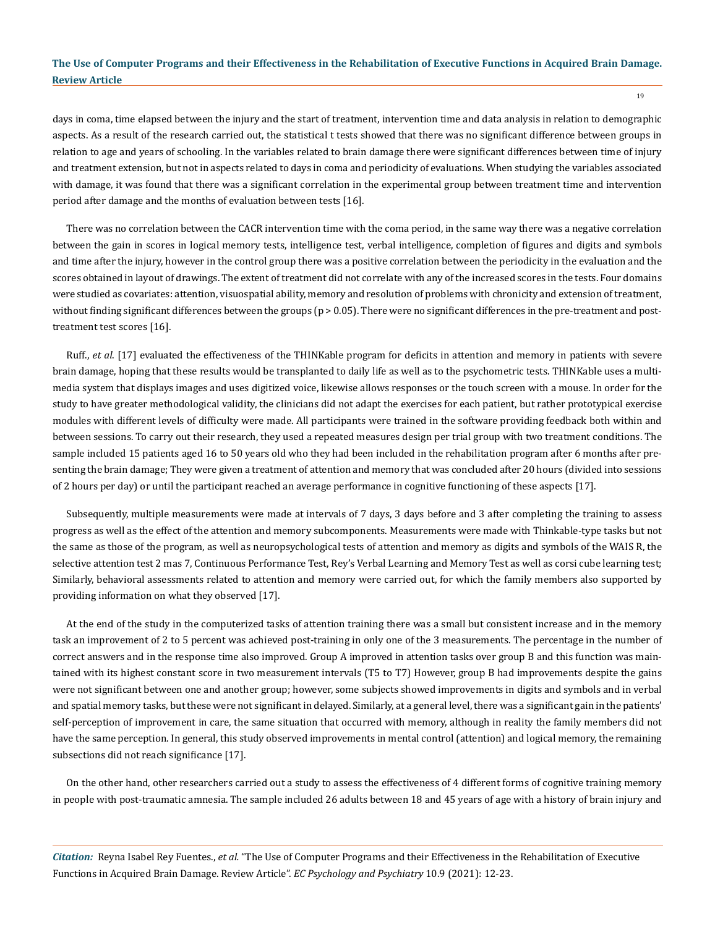days in coma, time elapsed between the injury and the start of treatment, intervention time and data analysis in relation to demographic aspects. As a result of the research carried out, the statistical t tests showed that there was no significant difference between groups in relation to age and years of schooling. In the variables related to brain damage there were significant differences between time of injury and treatment extension, but not in aspects related to days in coma and periodicity of evaluations. When studying the variables associated with damage, it was found that there was a significant correlation in the experimental group between treatment time and intervention period after damage and the months of evaluation between tests [16].

There was no correlation between the CACR intervention time with the coma period, in the same way there was a negative correlation between the gain in scores in logical memory tests, intelligence test, verbal intelligence, completion of figures and digits and symbols and time after the injury, however in the control group there was a positive correlation between the periodicity in the evaluation and the scores obtained in layout of drawings. The extent of treatment did not correlate with any of the increased scores in the tests. Four domains were studied as covariates: attention, visuospatial ability, memory and resolution of problems with chronicity and extension of treatment, without finding significant differences between the groups (p > 0.05). There were no significant differences in the pre-treatment and posttreatment test scores [16].

Ruff., *et al*. [17] evaluated the effectiveness of the THINKable program for deficits in attention and memory in patients with severe brain damage, hoping that these results would be transplanted to daily life as well as to the psychometric tests. THINKable uses a multimedia system that displays images and uses digitized voice, likewise allows responses or the touch screen with a mouse. In order for the study to have greater methodological validity, the clinicians did not adapt the exercises for each patient, but rather prototypical exercise modules with different levels of difficulty were made. All participants were trained in the software providing feedback both within and between sessions. To carry out their research, they used a repeated measures design per trial group with two treatment conditions. The sample included 15 patients aged 16 to 50 years old who they had been included in the rehabilitation program after 6 months after presenting the brain damage; They were given a treatment of attention and memory that was concluded after 20 hours (divided into sessions of 2 hours per day) or until the participant reached an average performance in cognitive functioning of these aspects [17].

Subsequently, multiple measurements were made at intervals of 7 days, 3 days before and 3 after completing the training to assess progress as well as the effect of the attention and memory subcomponents. Measurements were made with Thinkable-type tasks but not the same as those of the program, as well as neuropsychological tests of attention and memory as digits and symbols of the WAIS R, the selective attention test 2 mas 7, Continuous Performance Test, Rey's Verbal Learning and Memory Test as well as corsi cube learning test; Similarly, behavioral assessments related to attention and memory were carried out, for which the family members also supported by providing information on what they observed [17].

At the end of the study in the computerized tasks of attention training there was a small but consistent increase and in the memory task an improvement of 2 to 5 percent was achieved post-training in only one of the 3 measurements. The percentage in the number of correct answers and in the response time also improved. Group A improved in attention tasks over group B and this function was maintained with its highest constant score in two measurement intervals (T5 to T7) However, group B had improvements despite the gains were not significant between one and another group; however, some subjects showed improvements in digits and symbols and in verbal and spatial memory tasks, but these were not significant in delayed. Similarly, at a general level, there was a significant gain in the patients' self-perception of improvement in care, the same situation that occurred with memory, although in reality the family members did not have the same perception. In general, this study observed improvements in mental control (attention) and logical memory, the remaining subsections did not reach significance [17].

On the other hand, other researchers carried out a study to assess the effectiveness of 4 different forms of cognitive training memory in people with post-traumatic amnesia. The sample included 26 adults between 18 and 45 years of age with a history of brain injury and

*Citation:* Reyna Isabel Rey Fuentes., *et al.* "The Use of Computer Programs and their Effectiveness in the Rehabilitation of Executive Functions in Acquired Brain Damage. Review Article". *EC Psychology and Psychiatry* 10.9 (2021): 12-23.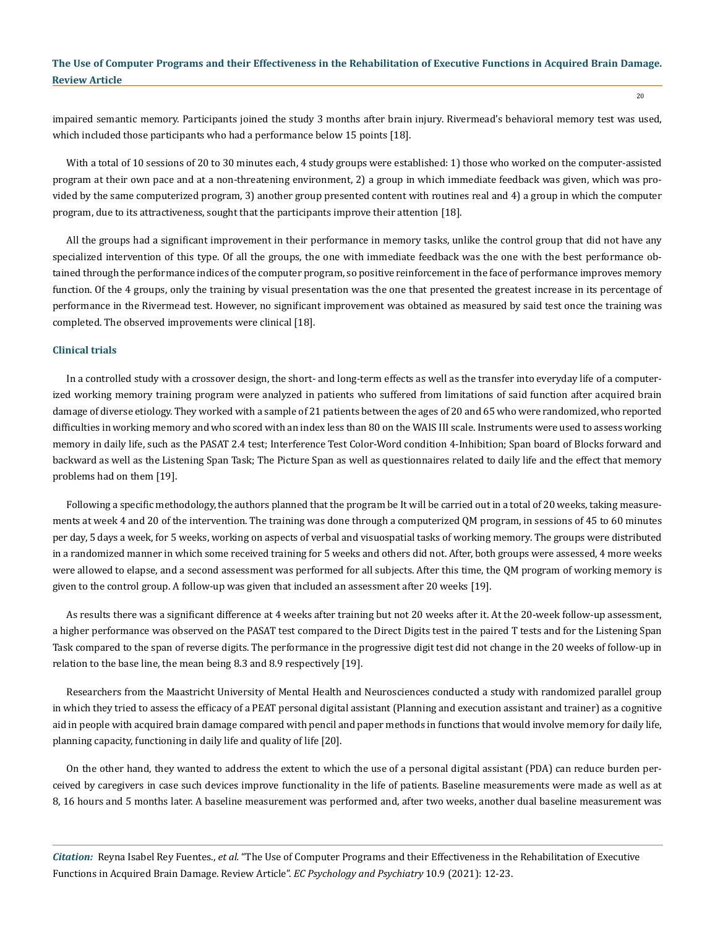impaired semantic memory. Participants joined the study 3 months after brain injury. Rivermead's behavioral memory test was used, which included those participants who had a performance below 15 points [18].

With a total of 10 sessions of 20 to 30 minutes each, 4 study groups were established: 1) those who worked on the computer-assisted program at their own pace and at a non-threatening environment, 2) a group in which immediate feedback was given, which was provided by the same computerized program, 3) another group presented content with routines real and 4) a group in which the computer program, due to its attractiveness, sought that the participants improve their attention [18].

All the groups had a significant improvement in their performance in memory tasks, unlike the control group that did not have any specialized intervention of this type. Of all the groups, the one with immediate feedback was the one with the best performance obtained through the performance indices of the computer program, so positive reinforcement in the face of performance improves memory function. Of the 4 groups, only the training by visual presentation was the one that presented the greatest increase in its percentage of performance in the Rivermead test. However, no significant improvement was obtained as measured by said test once the training was completed. The observed improvements were clinical [18].

#### **Clinical trials**

In a controlled study with a crossover design, the short- and long-term effects as well as the transfer into everyday life of a computerized working memory training program were analyzed in patients who suffered from limitations of said function after acquired brain damage of diverse etiology. They worked with a sample of 21 patients between the ages of 20 and 65 who were randomized, who reported difficulties in working memory and who scored with an index less than 80 on the WAIS III scale. Instruments were used to assess working memory in daily life, such as the PASAT 2.4 test; Interference Test Color-Word condition 4-Inhibition; Span board of Blocks forward and backward as well as the Listening Span Task; The Picture Span as well as questionnaires related to daily life and the effect that memory problems had on them [19].

Following a specific methodology, the authors planned that the program be It will be carried out in a total of 20 weeks, taking measurements at week 4 and 20 of the intervention. The training was done through a computerized QM program, in sessions of 45 to 60 minutes per day, 5 days a week, for 5 weeks, working on aspects of verbal and visuospatial tasks of working memory. The groups were distributed in a randomized manner in which some received training for 5 weeks and others did not. After, both groups were assessed, 4 more weeks were allowed to elapse, and a second assessment was performed for all subjects. After this time, the QM program of working memory is given to the control group. A follow-up was given that included an assessment after 20 weeks [19].

As results there was a significant difference at 4 weeks after training but not 20 weeks after it. At the 20-week follow-up assessment, a higher performance was observed on the PASAT test compared to the Direct Digits test in the paired T tests and for the Listening Span Task compared to the span of reverse digits. The performance in the progressive digit test did not change in the 20 weeks of follow-up in relation to the base line, the mean being 8.3 and 8.9 respectively [19].

Researchers from the Maastricht University of Mental Health and Neurosciences conducted a study with randomized parallel group in which they tried to assess the efficacy of a PEAT personal digital assistant (Planning and execution assistant and trainer) as a cognitive aid in people with acquired brain damage compared with pencil and paper methods in functions that would involve memory for daily life, planning capacity, functioning in daily life and quality of life [20].

On the other hand, they wanted to address the extent to which the use of a personal digital assistant (PDA) can reduce burden perceived by caregivers in case such devices improve functionality in the life of patients. Baseline measurements were made as well as at 8, 16 hours and 5 months later. A baseline measurement was performed and, after two weeks, another dual baseline measurement was

*Citation:* Reyna Isabel Rey Fuentes., *et al.* "The Use of Computer Programs and their Effectiveness in the Rehabilitation of Executive Functions in Acquired Brain Damage. Review Article". *EC Psychology and Psychiatry* 10.9 (2021): 12-23.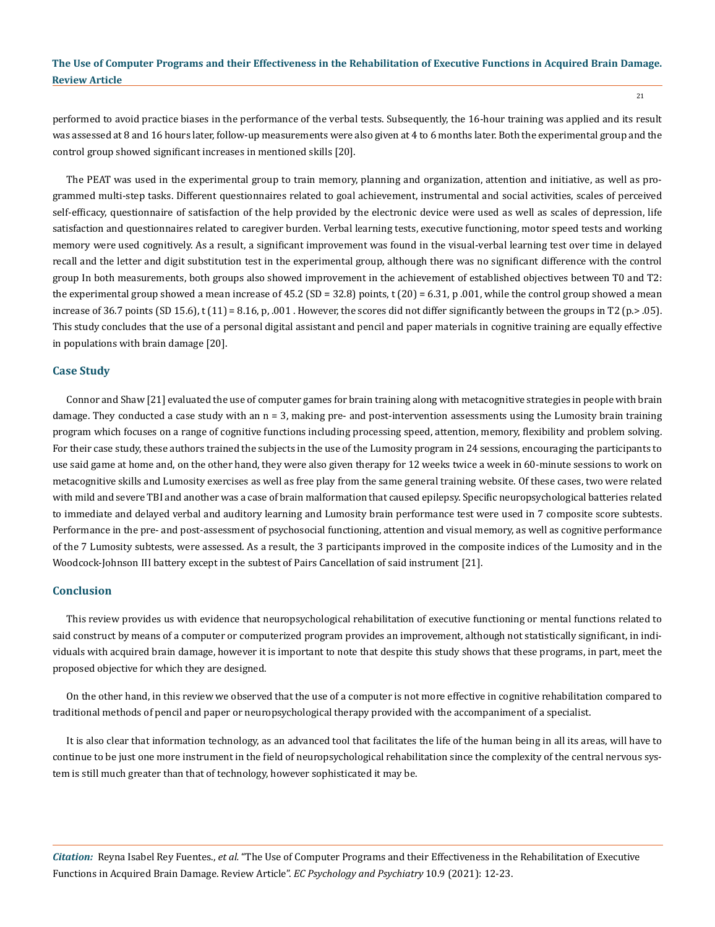performed to avoid practice biases in the performance of the verbal tests. Subsequently, the 16-hour training was applied and its result was assessed at 8 and 16 hours later, follow-up measurements were also given at 4 to 6 months later. Both the experimental group and the control group showed significant increases in mentioned skills [20].

The PEAT was used in the experimental group to train memory, planning and organization, attention and initiative, as well as programmed multi-step tasks. Different questionnaires related to goal achievement, instrumental and social activities, scales of perceived self-efficacy, questionnaire of satisfaction of the help provided by the electronic device were used as well as scales of depression, life satisfaction and questionnaires related to caregiver burden. Verbal learning tests, executive functioning, motor speed tests and working memory were used cognitively. As a result, a significant improvement was found in the visual-verbal learning test over time in delayed recall and the letter and digit substitution test in the experimental group, although there was no significant difference with the control group In both measurements, both groups also showed improvement in the achievement of established objectives between T0 and T2: the experimental group showed a mean increase of 45.2 (SD = 32.8) points, t (20) = 6.31, p .001, while the control group showed a mean increase of 36.7 points (SD 15.6), t (11) = 8.16, p, .001 . However, the scores did not differ significantly between the groups in T2 (p.> .05). This study concludes that the use of a personal digital assistant and pencil and paper materials in cognitive training are equally effective in populations with brain damage [20].

#### **Case Study**

Connor and Shaw [21] evaluated the use of computer games for brain training along with metacognitive strategies in people with brain damage. They conducted a case study with an  $n = 3$ , making pre- and post-intervention assessments using the Lumosity brain training program which focuses on a range of cognitive functions including processing speed, attention, memory, flexibility and problem solving. For their case study, these authors trained the subjects in the use of the Lumosity program in 24 sessions, encouraging the participants to use said game at home and, on the other hand, they were also given therapy for 12 weeks twice a week in 60-minute sessions to work on metacognitive skills and Lumosity exercises as well as free play from the same general training website. Of these cases, two were related with mild and severe TBI and another was a case of brain malformation that caused epilepsy. Specific neuropsychological batteries related to immediate and delayed verbal and auditory learning and Lumosity brain performance test were used in 7 composite score subtests. Performance in the pre- and post-assessment of psychosocial functioning, attention and visual memory, as well as cognitive performance of the 7 Lumosity subtests, were assessed. As a result, the 3 participants improved in the composite indices of the Lumosity and in the Woodcock-Johnson III battery except in the subtest of Pairs Cancellation of said instrument [21].

#### **Conclusion**

This review provides us with evidence that neuropsychological rehabilitation of executive functioning or mental functions related to said construct by means of a computer or computerized program provides an improvement, although not statistically significant, in individuals with acquired brain damage, however it is important to note that despite this study shows that these programs, in part, meet the proposed objective for which they are designed.

On the other hand, in this review we observed that the use of a computer is not more effective in cognitive rehabilitation compared to traditional methods of pencil and paper or neuropsychological therapy provided with the accompaniment of a specialist.

It is also clear that information technology, as an advanced tool that facilitates the life of the human being in all its areas, will have to continue to be just one more instrument in the field of neuropsychological rehabilitation since the complexity of the central nervous system is still much greater than that of technology, however sophisticated it may be.

*Citation:* Reyna Isabel Rey Fuentes., *et al.* "The Use of Computer Programs and their Effectiveness in the Rehabilitation of Executive Functions in Acquired Brain Damage. Review Article". *EC Psychology and Psychiatry* 10.9 (2021): 12-23.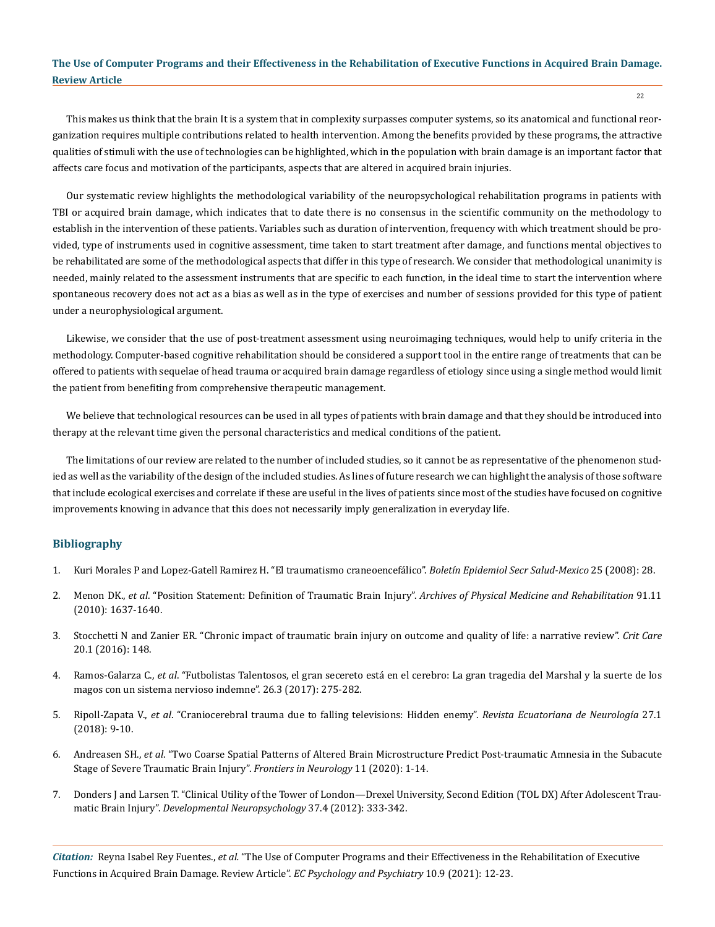This makes us think that the brain It is a system that in complexity surpasses computer systems, so its anatomical and functional reorganization requires multiple contributions related to health intervention. Among the benefits provided by these programs, the attractive qualities of stimuli with the use of technologies can be highlighted, which in the population with brain damage is an important factor that affects care focus and motivation of the participants, aspects that are altered in acquired brain injuries.

Our systematic review highlights the methodological variability of the neuropsychological rehabilitation programs in patients with TBI or acquired brain damage, which indicates that to date there is no consensus in the scientific community on the methodology to establish in the intervention of these patients. Variables such as duration of intervention, frequency with which treatment should be provided, type of instruments used in cognitive assessment, time taken to start treatment after damage, and functions mental objectives to be rehabilitated are some of the methodological aspects that differ in this type of research. We consider that methodological unanimity is needed, mainly related to the assessment instruments that are specific to each function, in the ideal time to start the intervention where spontaneous recovery does not act as a bias as well as in the type of exercises and number of sessions provided for this type of patient under a neurophysiological argument.

Likewise, we consider that the use of post-treatment assessment using neuroimaging techniques, would help to unify criteria in the methodology. Computer-based cognitive rehabilitation should be considered a support tool in the entire range of treatments that can be offered to patients with sequelae of head trauma or acquired brain damage regardless of etiology since using a single method would limit the patient from benefiting from comprehensive therapeutic management.

We believe that technological resources can be used in all types of patients with brain damage and that they should be introduced into therapy at the relevant time given the personal characteristics and medical conditions of the patient.

The limitations of our review are related to the number of included studies, so it cannot be as representative of the phenomenon studied as well as the variability of the design of the included studies. As lines of future research we can highlight the analysis of those software that include ecological exercises and correlate if these are useful in the lives of patients since most of the studies have focused on cognitive improvements knowing in advance that this does not necessarily imply generalization in everyday life.

#### **Bibliography**

- 1. [Kuri Morales P and Lopez-Gatell Ramirez H. "El traumatismo craneoencefálico".](https://www.guttmann.com/es/treatment/traumatismo-craneoencefalico-tce) *Boletín Epidemiol Secr Salud-Mexico* 25 (2008): 28.
- 2. Menon DK., *et al*[. "Position Statement: Definition of Traumatic Brain Injury".](https://pubmed.ncbi.nlm.nih.gov/21044706/) *Archives of Physical Medicine and Rehabilitation* 91.11 [\(2010\): 1637-1640.](https://pubmed.ncbi.nlm.nih.gov/21044706/)
- 3. [Stocchetti N and Zanier ER. "Chronic impact of traumatic brain injury on outcome and quality of life: a narrative review".](https://www.ncbi.nlm.nih.gov/pmc/articles/PMC4915181/) *Crit Care* [20.1 \(2016\): 148.](https://www.ncbi.nlm.nih.gov/pmc/articles/PMC4915181/)
- 4. Ramos-Galarza C., *et al*[. "Futbolistas Talentosos, el gran secereto está en el cerebro: La gran tragedia del Marshal y la suerte de los](http://revecuatneurol.com/magazine_issue_article/talented-soccer-players-big-secret-brain-nervous-systems/)  [magos con un sistema nervioso indemne". 26.3 \(2017\): 275-282.](http://revecuatneurol.com/magazine_issue_article/talented-soccer-players-big-secret-brain-nervous-systems/)
- 5. Ripoll-Zapata V., *et al*[. "Craniocerebral trauma due to falling televisions: Hidden enemy".](https://pubmed.ncbi.nlm.nih.gov/21470230/) *Revista Ecuatoriana de Neurología* 27.1 [\(2018\): 9-10.](https://pubmed.ncbi.nlm.nih.gov/21470230/)
- 6. Andreasen SH., *et al*[. "Two Coarse Spatial Patterns of Altered Brain Microstructure Predict Post-traumatic Amnesia in the Subacute](https://pubmed.ncbi.nlm.nih.gov/33013616/)  [Stage of Severe Traumatic Brain Injury".](https://pubmed.ncbi.nlm.nih.gov/33013616/) *Frontiers in Neurology* 11 (2020): 1-14.
- 7. [Donders J and Larsen T. "Clinical Utility of the Tower of London—Drexel University, Second Edition \(TOL DX\) After Adolescent Trau](https://www.researchgate.net/publication/225051814_Clinical_Utility_of_the_Tower_of_London-Drexel_University_Second_Edition_TOL_DX_After_Adolescent_Traumatic_Brain_Injury)matic Brain Injury". *[Developmental Neuropsychology](https://www.researchgate.net/publication/225051814_Clinical_Utility_of_the_Tower_of_London-Drexel_University_Second_Edition_TOL_DX_After_Adolescent_Traumatic_Brain_Injury)* 37.4 (2012): 333-342.

*Citation:* Reyna Isabel Rey Fuentes., *et al.* "The Use of Computer Programs and their Effectiveness in the Rehabilitation of Executive Functions in Acquired Brain Damage. Review Article". *EC Psychology and Psychiatry* 10.9 (2021): 12-23.